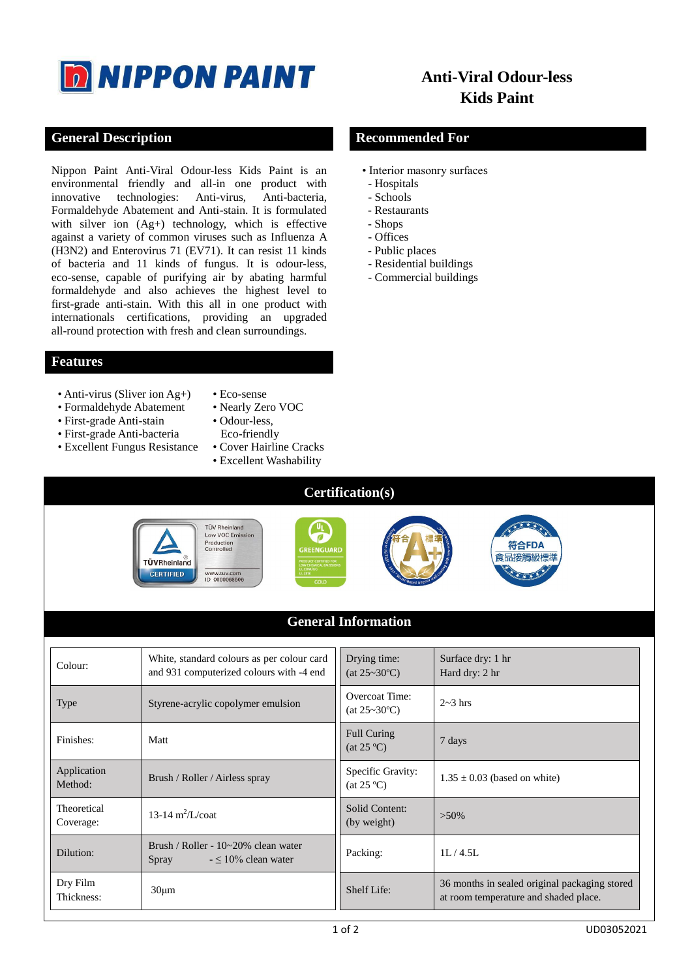

# **Anti-Viral Odour-less Kids Paint**

# **General Description Recommended For**

Nippon Paint Anti-Viral Odour-less Kids Paint is an environmental friendly and all-in one product with<br>innovative technologies: Anti-virus, Anti-bacteria, innovative technologies: Anti-virus, Formaldehyde Abatement and Anti-stain. It is formulated with silver ion  $(Ag+)$  technology, which is effective against a variety of common viruses such as Influenza A (H3N2) and Enterovirus 71 (EV71). It can resist 11 kinds of bacteria and 11 kinds of fungus. It is odour-less, eco-sense, capable of purifying air by abating harmful formaldehyde and also achieves the highest level to first-grade anti-stain. With this all in one product with internationals certifications, providing an upgraded all-round protection with fresh and clean surroundings.

#### **Features**

- Anti-virus (Sliver ion Ag+)
- Formaldehyde Abatement
- First-grade Anti-stain
- 
- First-grade Anti-bacteria
- Excellent Fungus Resistance
- Eco-sense
- Nearly Zero VOC
- Odour-less,
- Eco-friendly
- Cover Hairline Cracks
- Excellent Washability
- 
- Interior masonry surfaces
- Hospitals
- Schools
- Restaurants
- Shops
- Offices
- Public places
- Residential buildings
- Commercial buildings

| <b>Certification(s)</b>                                                                                                                                                                                                                                           |                                                                                        |                                                |                                                                                        |  |  |  |
|-------------------------------------------------------------------------------------------------------------------------------------------------------------------------------------------------------------------------------------------------------------------|----------------------------------------------------------------------------------------|------------------------------------------------|----------------------------------------------------------------------------------------|--|--|--|
| <b>TÜV Rheinland</b><br>Low VOC Emission<br>Production<br>符合FDA<br>Controlled<br><b>GREENGUARD</b><br>食品接觸級標準<br>PRODUCT CERTIFIED FOR<br>LOW CHEMICAL EMISSION<br>ULCOM/GG<br>UL2818<br>TÜVRheinland<br><b>CERTIFIED</b><br>www.tuv.com<br>ID 0000068506<br>GOLD |                                                                                        |                                                |                                                                                        |  |  |  |
|                                                                                                                                                                                                                                                                   |                                                                                        | <b>General Information</b>                     |                                                                                        |  |  |  |
| Colour:                                                                                                                                                                                                                                                           | White, standard colours as per colour card<br>and 931 computerized colours with -4 end | Drying time:<br>$(at 25~30^{\circ}\text{C})$   | Surface dry: 1 hr<br>Hard dry: 2 hr                                                    |  |  |  |
| <b>Type</b>                                                                                                                                                                                                                                                       | Styrene-acrylic copolymer emulsion                                                     | Overcoat Time:<br>$(at 25~30^{\circ}\text{C})$ | $2~3$ hrs                                                                              |  |  |  |
| Finishes:                                                                                                                                                                                                                                                         | Matt                                                                                   | <b>Full Curing</b><br>$(at 25^\circ\text{C})$  | 7 days                                                                                 |  |  |  |
| Application<br>Method:                                                                                                                                                                                                                                            | Brush / Roller / Airless spray                                                         | Specific Gravity:<br>$(at 25^\circ\text{C})$   | $1.35 \pm 0.03$ (based on white)                                                       |  |  |  |
| Theoretical<br>Coverage:                                                                                                                                                                                                                                          | 13-14 $m^2/L$ /coat                                                                    | Solid Content:<br>(by weight)                  | $>50\%$                                                                                |  |  |  |
| Dilution:                                                                                                                                                                                                                                                         | Brush / Roller - 10~20% clean water<br>Spray<br>$-5.10\%$ clean water                  | Packing:                                       | 1L/4.5L                                                                                |  |  |  |
| Dry Film<br>Thickness:                                                                                                                                                                                                                                            | $30 \mu m$                                                                             | Shelf Life:                                    | 36 months in sealed original packaging stored<br>at room temperature and shaded place. |  |  |  |